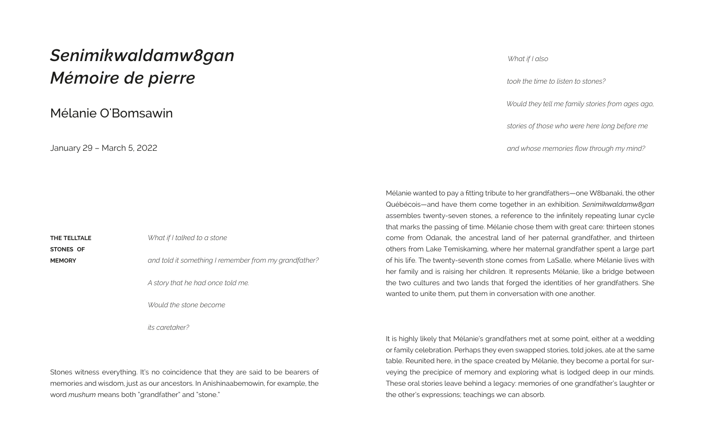## *Senimikwaldamw8gan Mémoire de pierre*

Mélanie O'Bomsawin

January 29 – March 5, 2022

**THE TELLTALE STONES OF MEMORY** *What if I talked to a stone and told it something I remember from my grandfather? A story that he had once told me.* 

*Would the stone become*

*its caretaker?* 

Stones witness everything. It's no coincidence that they are said to be bearers of memories and wisdom, just as our ancestors. In Anishinaabemowin, for example, the word *mushum* means both "grandfather" and "stone."

It is highly likely that Mélanie's grandfathers met at some point, either at a wedding or family celebration. Perhaps they even swapped stories, told jokes, ate at the same table. Reunited here, in the space created by Mélanie, they become a portal for surveying the precipice of memory and exploring what is lodged deep in our minds. These oral stories leave behind a legacy: memories of one grandfather's laughter or the other's expressions; teachings we can absorb.

*What if I also* 

*took the time to listen to stones?* 

*Would they tell me family stories from ages ago,* 

*stories of those who were here long before me*

*and whose memories flow through my mind?*

Mélanie wanted to pay a fitting tribute to her grandfathers—one W8banaki, the other Québécois—and have them come together in an exhibition. *Senimikwaldamw8gan* assembles twenty-seven stones, a reference to the infinitely repeating lunar cycle that marks the passing of time. Mélanie chose them with great care: thirteen stones come from Odanak, the ancestral land of her paternal grandfather, and thirteen others from Lake Temiskaming, where her maternal grandfather spent a large part of his life. The twenty-seventh stone comes from LaSalle, where Mélanie lives with her family and is raising her children. It represents Mélanie, like a bridge between the two cultures and two lands that forged the identities of her grandfathers. She wanted to unite them, put them in conversation with one another.